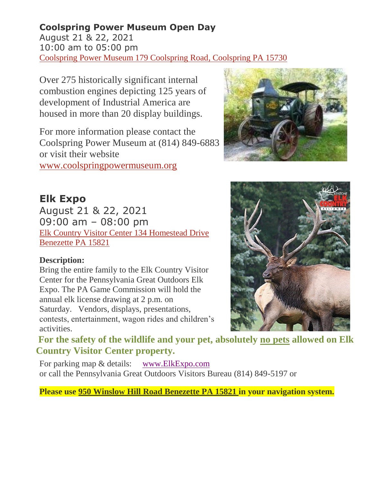## **Coolspring Power Museum Open Day**

August 21 & 22, 2021 10:00 am to 05:00 pm [Coolspring Power Museum 179 Coolspring Road,](http://www.coolspringpowermuseum.org/) Coolspring PA 15730

Over 275 historically significant internal combustion engines depicting 125 years of development of Industrial America are housed in more than 20 display buildings.

For more information please contact the Coolspring Power Museum at (814) 849-6883 or visit their website [www.coolspringpowermuseum.org](http://www.coolspringpowermuseum.org/)



**Elk Expo** August 21 & 22, 2021 09:00 am – 08:00 pm [Elk Country Visitor Center 134 Homestead Drive](http://elkcountryvisitorcenter.com/) [Benezette PA 15821](http://elkcountryvisitorcenter.com/)

## **Description:**

Bring the entire family to the Elk Country Visitor Center for the Pennsylvania Great Outdoors Elk Expo. The PA Game Commission will hold the annual elk license drawing at 2 p.m. on Saturday. Vendors, displays, presentations, contests, entertainment, wagon rides and children's activities.



**For the safety of the wildlife and your pet, absolutely no pets allowed on Elk Country Visitor Center property.** 

For parking map & details: [www.ElkExpo.com](http://www.elkexpo.com/) or call the Pennsylvania Great Outdoors Visitors Bureau (814) 849-5197 or

**Please use 950 Winslow Hill Road Benezette PA 15821 in your navigation system.**